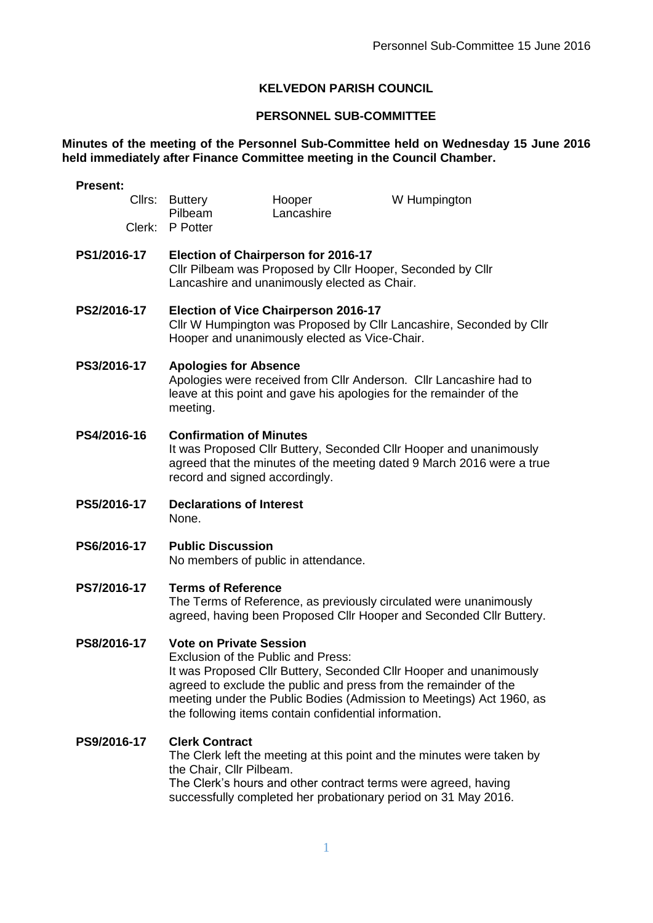## **KELVEDON PARISH COUNCIL**

## **PERSONNEL SUB-COMMITTEE**

## **Minutes of the meeting of the Personnel Sub-Committee held on Wednesday 15 June 2016 held immediately after Finance Committee meeting in the Council Chamber.**

| <b>Present:</b> |                                                                                                                                                                                                                                                                                                                                                 |                      |              |  |
|-----------------|-------------------------------------------------------------------------------------------------------------------------------------------------------------------------------------------------------------------------------------------------------------------------------------------------------------------------------------------------|----------------------|--------------|--|
|                 | Cllrs: Buttery<br>Pilbeam                                                                                                                                                                                                                                                                                                                       | Hooper<br>Lancashire | W Humpington |  |
| Clerk:          | P Potter                                                                                                                                                                                                                                                                                                                                        |                      |              |  |
| PS1/2016-17     | Election of Chairperson for 2016-17<br>Cllr Pilbeam was Proposed by Cllr Hooper, Seconded by Cllr<br>Lancashire and unanimously elected as Chair.                                                                                                                                                                                               |                      |              |  |
| PS2/2016-17     | <b>Election of Vice Chairperson 2016-17</b><br>Cllr W Humpington was Proposed by Cllr Lancashire, Seconded by Cllr<br>Hooper and unanimously elected as Vice-Chair.                                                                                                                                                                             |                      |              |  |
| PS3/2016-17     | <b>Apologies for Absence</b><br>Apologies were received from CIIr Anderson. CIIr Lancashire had to<br>leave at this point and gave his apologies for the remainder of the<br>meeting.                                                                                                                                                           |                      |              |  |
| PS4/2016-16     | <b>Confirmation of Minutes</b><br>It was Proposed Cllr Buttery, Seconded Cllr Hooper and unanimously<br>agreed that the minutes of the meeting dated 9 March 2016 were a true<br>record and signed accordingly.                                                                                                                                 |                      |              |  |
| PS5/2016-17     | <b>Declarations of Interest</b><br>None.                                                                                                                                                                                                                                                                                                        |                      |              |  |
| PS6/2016-17     | <b>Public Discussion</b><br>No members of public in attendance.                                                                                                                                                                                                                                                                                 |                      |              |  |
| PS7/2016-17     | <b>Terms of Reference</b><br>The Terms of Reference, as previously circulated were unanimously<br>agreed, having been Proposed Cllr Hooper and Seconded Cllr Buttery.                                                                                                                                                                           |                      |              |  |
| PS8/2016-17     | <b>Vote on Private Session</b><br>Exclusion of the Public and Press:<br>It was Proposed Cllr Buttery, Seconded Cllr Hooper and unanimously<br>agreed to exclude the public and press from the remainder of the<br>meeting under the Public Bodies (Admission to Meetings) Act 1960, as<br>the following items contain confidential information. |                      |              |  |
| PS9/2016-17     | <b>Clerk Contract</b><br>The Clerk left the meeting at this point and the minutes were taken by<br>the Chair, Cllr Pilbeam.<br>The Clerk's hours and other contract terms were agreed, having<br>successfully completed her probationary period on 31 May 2016.                                                                                 |                      |              |  |